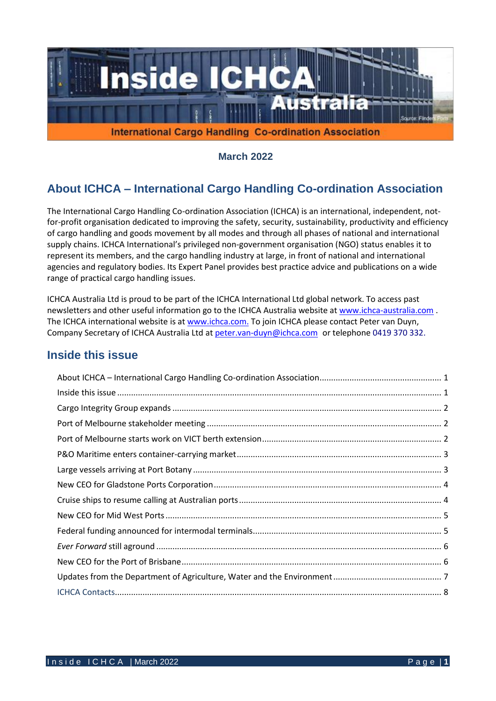

**March 2022**

# **About ICHCA – International Cargo Handling Co-ordination Association**

The International Cargo Handling Co-ordination Association (ICHCA) is an international, independent, notfor-profit organisation dedicated to improving the safety, security, sustainability, productivity and efficiency of cargo handling and goods movement by all modes and through all phases of national and international supply chains. ICHCA International's privileged non-government organisation (NGO) status enables it to represent its members, and the cargo handling industry at large, in front of national and international agencies and regulatory bodies. Its Expert Panel provides best practice advice and publications on a wide range of practical cargo handling issues.

ICHCA Australia Ltd is proud to be part of the ICHCA International Ltd global network. To access past newsletters and other useful information go to the ICHCA Australia website at [www.ichca-australia.com](http://www.ichca-australia.com/) . The ICHCA international website is at [www.ichca.com.](http://www.ichca.com/) To join ICHCA please contact Peter van Duyn, Company Secretary of ICHCA Australia Ltd at [peter.van-duyn@ichca.com](mailto:peter.vanduijn@deakin.edu.au) or telephone 0419 370 332.

### **Inside this issue**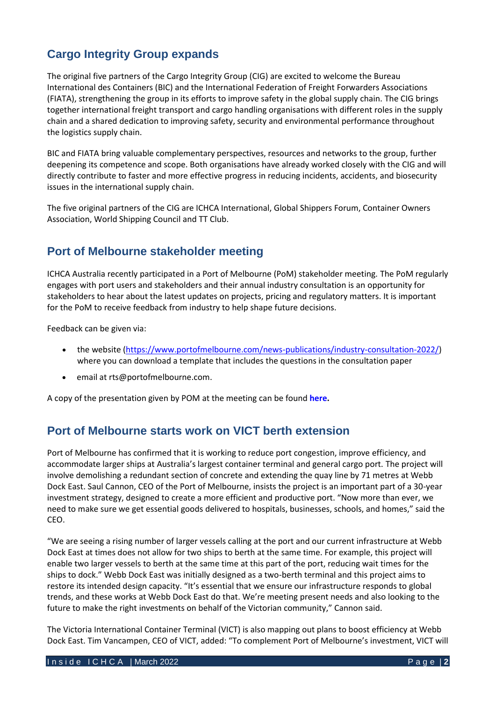# **Cargo Integrity Group expands**

The original five partners of the Cargo Integrity Group (CIG) are excited to welcome the Bureau International des Containers (BIC) and the International Federation of Freight Forwarders Associations (FIATA), strengthening the group in its efforts to improve safety in the global supply chain. The CIG brings together international freight transport and cargo handling organisations with different roles in the supply chain and a shared dedication to improving safety, security and environmental performance throughout the logistics supply chain.

BIC and FIATA bring valuable complementary perspectives, resources and networks to the group, further deepening its competence and scope. Both organisations have already worked closely with the CIG and will directly contribute to faster and more effective progress in reducing incidents, accidents, and biosecurity issues in the international supply chain.

The five original partners of the CIG are ICHCA International, Global Shippers Forum, Container Owners Association, World Shipping Council and TT Club.

## **Port of Melbourne stakeholder meeting**

ICHCA Australia recently participated in a Port of Melbourne (PoM) stakeholder meeting. The PoM regularly engages with port users and stakeholders and their annual industry consultation is an opportunity for stakeholders to hear about the latest updates on projects, pricing and regulatory matters. It is important for the PoM to receive feedback from industry to help shape future decisions.

Feedback can be given via:

- the website [\(https://www.portofmelbourne.com/news-publications/industry-consultation-2022/\)](https://www.portofmelbourne.com/news-publications/industry-consultation-2022/) where you can download a template that includes the questions in the consultation paper
- email at rts@portofmelbourne.com.

A copy of the presentation given by POM at the meeting can be found **[here.](https://www.portofmelbourne.com/wp-content/uploads/2022-Industry-Consultation-Presentation-March-2022.pdf)**

### **Port of Melbourne starts work on VICT berth extension**

Port of Melbourne has confirmed that it is working to reduce port congestion, improve efficiency, and accommodate larger ships at Australia's largest container terminal and general cargo port. The project will involve demolishing a redundant section of concrete and extending the quay line by 71 metres at Webb Dock East. Saul Cannon, CEO of the Port of Melbourne, insists the project is an important part of a 30-year investment strategy, designed to create a more efficient an[d productive](https://www.globaltrademag.com/big-ships-now-welcome-at-portmiami/) port. "Now more than ever, we need to make sure we get essential goods delivered to hospitals, businesses, schools, and homes," said the CEO.

"We are seeing a rising number of larger vessels calling at the port and our current infrastructure at Webb Dock East at times does not allow for two ships to berth at the same time. For example, this project will enable two larger vessels to berth at the same time at this part of the port, reducing wait times for the ships to dock." Webb Dock East was initially designed as a two-berth terminal and this project aims to restore its intended design capacity. "It's essential that we ensure our infrastructure responds to global trends, and these works at Webb Dock East do that. We're meeting present needs and also looking to the future to make the right investments on behalf of the Victorian community," Cannon said.

The Victoria International Container Terminal (VICT) is also mapping out plans to boost efficiency at Webb Dock East. Tim Vancampen, CEO of VICT, added: "To complement Port of Melbourne's investment, VICT will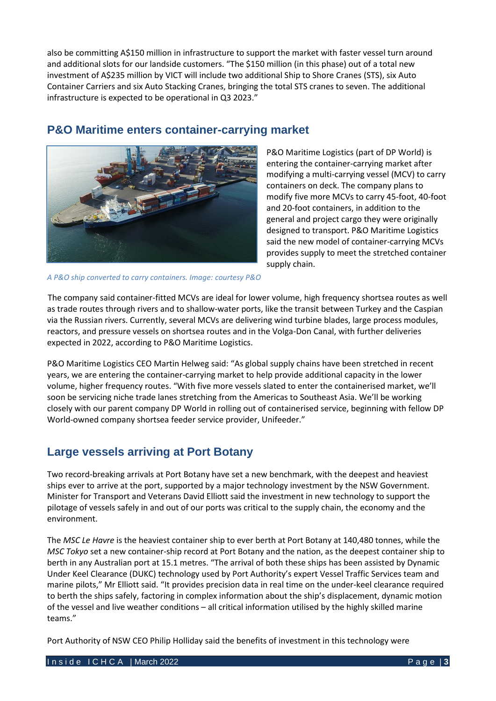also be committing A\$150 million in infrastructure to support the market with faster vessel turn around and additional slots for our landside customers. "The \$150 million (in this phase) out of a total new investment of A\$235 million by VICT will include two additional Ship to Shore Cranes (STS), six Auto Container Carriers and six Auto Stacking Cranes, bringing the total STS cranes to seven. The additional infrastructure is expected to be operational in Q3 2023."



### **P&O Maritime enters container-carrying market**

P&O Maritime Logistics (part of DP World) is entering the container-carrying market after modifying a multi-carrying vessel (MCV) to carry containers on deck. The company plans to modify five more MCVs to carry 45-foot, 40-foot and 20-foot containers, in addition to the general and project cargo they were originally designed to transport. P&O Maritime Logistics said the new model of container-carrying MCVs provides supply to meet the stretched container supply chain.

*A P&O ship converted to carry containers. Image: courtesy P&O*

The company said container-fitted MCVs are ideal for lower volume, high frequency shortsea routes as well as trade routes through rivers and to shallow-water ports, like the transit between Turkey and the Caspian via the Russian rivers. Currently, several MCVs are delivering wind turbine blades, large process modules, reactors, and pressure vessels on shortsea routes and in the Volga-Don Canal, with further deliveries expected in 2022, according to P&O Maritime Logistics.

P&O Maritime Logistics CEO Martin Helweg said: "As global supply chains have been stretched in recent years, we are entering the container-carrying market to help provide additional capacity in the lower volume, higher frequency routes. "With five more vessels slated to enter the containerised market, we'll soon be servicing niche trade lanes stretching from the Americas to Southeast Asia. We'll be working closely with our parent company DP World in rolling out of containerised service, beginning with fellow DP World-owned company shortsea feeder service provider, Unifeeder."

## **Large vessels arriving at Port Botany**

Two record-breaking arrivals at Port Botany have set a new benchmark, with the deepest and heaviest ships ever to arrive at the port, supported by a major technology investment by the NSW Government. Minister for Transport and Veterans David Elliott said the investment in new technology to support the pilotage of vessels safely in and out of our ports was critical to the supply chain, the economy and the environment.

The *MSC Le Havre* is the heaviest container ship to ever berth at Port Botany at 140,480 tonnes, while the *MSC Tokyo* set a new container-ship record at Port Botany and the nation, as the deepest container ship to berth in any Australian port at 15.1 metres. "The arrival of both these ships has been assisted by Dynamic Under Keel Clearance (DUKC) technology used by Port Authority's expert Vessel Traffic Services team and marine pilots," Mr Elliott said. "It provides precision data in real time on the under-keel clearance required to berth the ships safely, factoring in complex information about the ship's displacement, dynamic motion of the vessel and live weather conditions – all critical information utilised by the highly skilled marine teams."

Port Authority of NSW CEO Philip Holliday said the benefits of investment in this technology were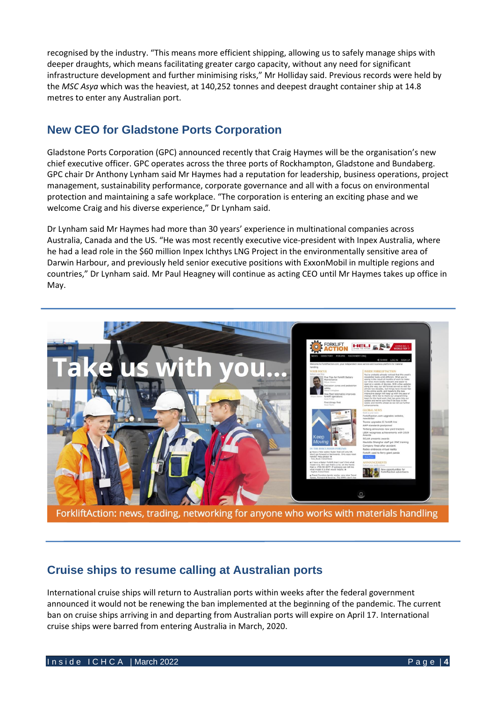recognised by the industry. "This means more efficient shipping, allowing us to safely manage ships with deeper draughts, which means facilitating greater cargo capacity, without any need for significant infrastructure development and further minimising risks," Mr Holliday said. Previous records were held by the *MSC Asya* which was the heaviest, at 140,252 tonnes and deepest draught container ship at 14.8 metres to enter any Australian port.

# **New CEO for Gladstone Ports Corporation**

Gladstone Ports Corporation (GPC) announced recently that Craig Haymes will be the organisation's new chief executive officer. GPC operates across the three ports of Rockhampton, Gladstone and Bundaberg. GPC chair Dr Anthony Lynham said Mr Haymes had a reputation for leadership, business operations, project management, sustainability performance, corporate governance and all with a focus on environmental protection and maintaining a safe workplace. "The corporation is entering an exciting phase and we welcome Craig and his diverse experience," Dr Lynham said.

Dr Lynham said Mr Haymes had more than 30 years' experience in multinational companies across Australia, Canada and the US. "He was most recently executive vice-president with Inpex Australia, where he had a lead role in the \$60 million Inpex Ichthys LNG Project in the environmentally sensitive area of Darwin Harbour, and previously held senior executive positions with ExxonMobil in multiple regions and countries," Dr Lynham said. Mr Paul Heagney will continue as acting CEO until Mr Haymes takes up office in May.



ForkliftAction: news, trading, networking for anyone who works with materials handling

## **Cruise ships to resume calling at Australian ports**

[International cruise ships](https://7news.com.au/travel/tourism) will return to [Australian](https://7news.com.au/news/australia) ports within weeks after the federal government announced it would not be renewing the ban implemented at the beginning of the pandemic. The current ban on cruise ships arriving in and departing from Australian ports will expire on April 17. International cruise ships were barred from entering Australia in [March, 2020.](https://7news.com.au/news/coronavirus)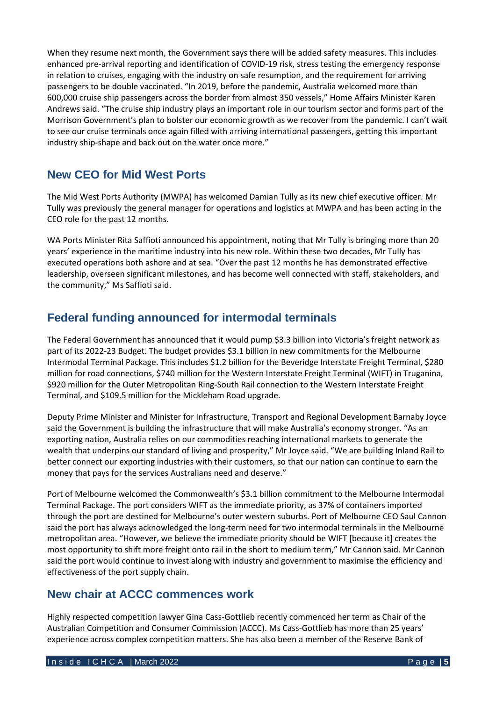When they resume next month, the Government says there will be added safety measures. This includes enhanced pre-arrival reporting and identification of COVID-19 risk, stress testing the emergency response in relation to cruises, engaging with the industry on safe resumption, and the requirement for arriving passengers to be double vaccinated. "In 2019, before the pandemic, Australia welcomed more than 600,000 cruise ship passengers across the border from almost 350 vessels," Home Affairs Minister Karen Andrews said. "The cruise ship industry plays an important role in our tourism sector and forms part of the Morrison Government's plan to bolster our economic growth as we recover from the pandemic. I can't wait to see our cruise terminals once again filled with arriving international passengers, getting this important industry ship-shape and back out on the water once more."

# **New CEO for Mid West Ports**

The Mid West Ports Authority (MWPA) has welcomed Damian Tully as its new chief executive officer. Mr Tully was previously the general manager for operations and logistics at MWPA and has been acting in the CEO role for the past 12 months.

WA Ports Minister Rita Saffioti announced his appointment, noting that Mr Tully is bringing more than 20 years' experience in the maritime industry into his new role. Within these two decades, Mr Tully has executed operations both ashore and at sea. "Over the past 12 months he has demonstrated effective leadership, overseen significant milestones, and has become well connected with staff, stakeholders, and the community," Ms Saffioti said.

## **Federal funding announced for intermodal terminals**

The Federal Government has announced that it would pump \$3.3 billion into Victoria's freight network as part of its 2022-23 Budget. The budget provides \$3.1 billion in new commitments for the Melbourne Intermodal Terminal Package. This includes \$1.2 billion for the Beveridge Interstate Freight Terminal, \$280 million for road connections, \$740 million for the Western Interstate Freight Terminal (WIFT) in Truganina, \$920 million for the Outer Metropolitan Ring-South Rail connection to the Western Interstate Freight Terminal, and \$109.5 million for the Mickleham Road upgrade.

Deputy Prime Minister and Minister for Infrastructure, Transport and Regional Development Barnaby Joyce said the Government is building the infrastructure that will make Australia's economy stronger. "As an exporting nation, Australia relies on our commodities reaching international markets to generate the wealth that underpins our standard of living and prosperity," Mr Joyce said. "We are building Inland Rail to better connect our exporting industries with their customers, so that our nation can continue to earn the money that pays for the services Australians need and deserve."

Port of Melbourne welcomed the Commonwealth's \$3.1 billion commitment to the Melbourne Intermodal Terminal Package. The port considers WIFT as the immediate priority, as 37% of containers imported through the port are destined for Melbourne's outer western suburbs. Port of Melbourne CEO Saul Cannon said the port has always acknowledged the long-term need for two intermodal terminals in the Melbourne metropolitan area. "However, we believe the immediate priority should be WIFT [because it] creates the most opportunity to shift more freight onto rail in the short to medium term," Mr Cannon said. Mr Cannon said the port would continue to invest along with industry and government to maximise the efficiency and effectiveness of the port supply chain.

# **New chair at ACCC commences work**

Highly respected competition lawyer Gina Cass-Gottlieb recently commenced her term as Chair of the Australian Competition and Consumer Commission (ACCC). Ms Cass-Gottlieb has more than 25 years' experience across complex competition matters. She has also been a member of the Reserve Bank of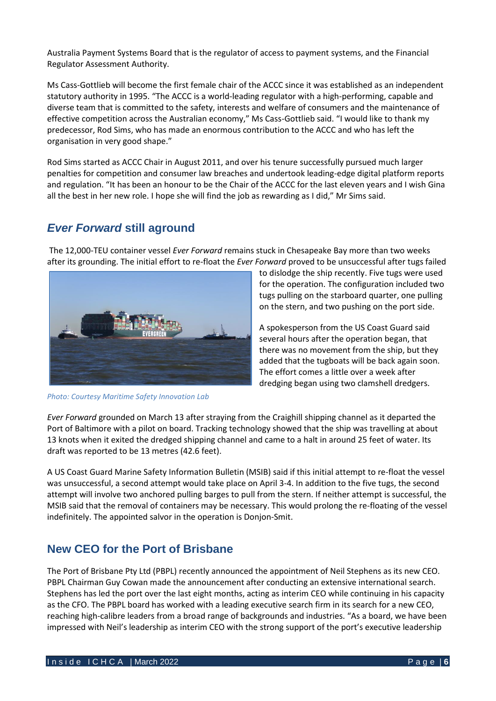Australia Payment Systems Board that is the regulator of access to payment systems, and the Financial Regulator Assessment Authority.

Ms Cass-Gottlieb will become the first female chair of the ACCC since it was established as an independent statutory authority in 1995. "The ACCC is a world-leading regulator with a high-performing, capable and diverse team that is committed to the safety, interests and welfare of consumers and the maintenance of effective competition across the Australian economy," Ms Cass-Gottlieb said. "I would like to thank my predecessor, Rod Sims, who has made an enormous contribution to the ACCC and who has left the organisation in very good shape."

Rod Sims started as ACCC Chair in August 2011, and over his tenure successfully pursued much larger penalties for competition and consumer law breaches and undertook leading-edge digital platform reports and regulation. "It has been an honour to be the Chair of the ACCC for the last eleven years and I wish Gina all the best in her new role. I hope she will find the job as rewarding as I did," Mr Sims said.

### *Ever Forward* **still aground**

The 12,000-TEU container vessel *Ever Forward* remains stuck in Chesapeake Bay more than two weeks after its grounding. The initial effort to re-float the *Ever Forward* proved to be unsuccessful after tugs failed



*Photo: Courtesy Maritime Safety Innovation Lab*

to dislodge the ship recently. Five tugs were used for the operation. Th[e configuration](https://gcaptain.com/ever-forward-refloating-plan-revealed/) included two tugs pulling on the starboard quarter, one pulling on the stern, and two pushing on the port side.

A spokesperson from the US Coast Guard said several hours after the operation began, that there was no movement from the ship, but they added that the tugboats will be back again soon. The effort comes a little over a week after [dredging began](https://gcaptain.com/ever-forward-dredging-commences/) using two clamshell dredgers.

*Ever Forward* grounded on March 13 after straying from the Craighill shipping channel as it departed the Port of Baltimore with a pilot on board. Tracking technology showed that the ship was travelling at about 13 knots when it exited the dredged shipping channel and came to a halt in around 25 feet of water. Its draft was reported to be 13 metres (42.6 feet).

A US Coast Guard Marine Safety Information Bulletin (MSIB) said if this initial attempt to re-float the vessel was unsuccessful, a second attempt would take place on April 3-4. In addition to the five tugs, the second attempt will involve two anchored pulling barges to pull from the stern. If neither attempt is successful, the MSIB said that the removal of containers may be necessary. This would prolong the re-floating of the vessel indefinitely. The appointed salvor in the operation is Donjon-Smit.

## **New CEO for the Port of Brisbane**

The Port of Brisbane Pty Ltd (PBPL) recently announced the appointment of Neil Stephens as its new CEO. PBPL Chairman Guy Cowan made the announcement after conducting an extensive international search. Stephens has led the port over the last eight months, acting as interim CEO while continuing in his capacity as the CFO. The PBPL board has worked with a leading executive search firm in its search for a new CEO, reaching high-calibre leaders from a broad range of backgrounds and industries. "As a board, we have been impressed with Neil's leadership as interim CEO with the strong support of the port's executive leadership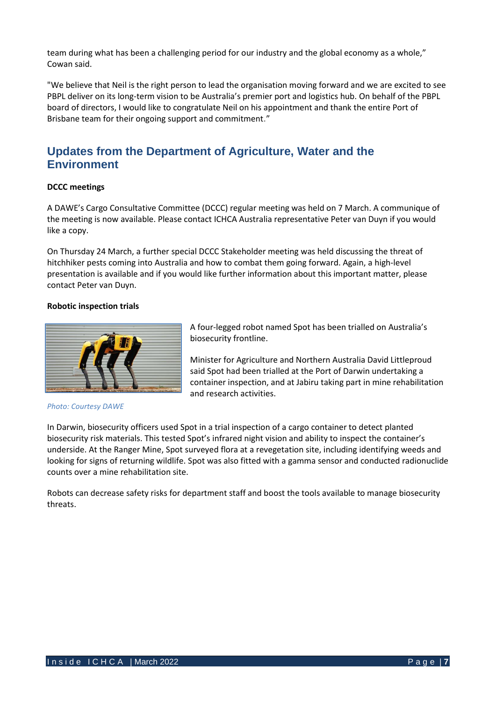team during what has been a challenging period for our industry and the global economy as a whole," Cowan said.

"We believe that Neil is the right person to lead the organisation moving forward and we are excited to see PBPL deliver on its long-term vision to be Australia's premier port and logistics hub. On behalf of the PBPL board of directors, I would like to congratulate Neil on his appointment and thank the entire Port of Brisbane team for their ongoing support and commitment."

### **Updates from the Department of Agriculture, Water and the Environment**

#### **DCCC meetings**

A DAWE's Cargo Consultative Committee (DCCC) regular meeting was held on 7 March. A communique of the meeting is now available. Please contact ICHCA Australia representative Peter van Duyn if you would like a copy.

On Thursday 24 March, a further special DCCC Stakeholder meeting was held discussing the threat of hitchhiker pests coming into Australia and how to combat them going forward. Again, a high-level presentation is available and if you would like further information about this important matter, please contact Peter van Duyn.

#### **Robotic inspection trials**



*Photo: Courtesy DAWE*

A four-legged robot named Spot has been trialled on Australia's biosecurity frontline.

Minister for Agriculture and Northern Australia David Littleproud said Spot had been trialled at the Port of Darwin undertaking a container inspection, and at Jabiru taking part in mine rehabilitation and research activities.

In Darwin, biosecurity officers used Spot in a trial inspection of a cargo container to detect planted biosecurity risk materials. This tested Spot's infrared night vision and ability to inspect the container's underside. At the Ranger Mine, Spot surveyed flora at a revegetation site, including identifying weeds and looking for signs of returning wildlife. Spot was also fitted with a gamma sensor and conducted radionuclide counts over a mine rehabilitation site.

Robots can decrease safety risks for department staff and boost the tools available to manage biosecurity threats.